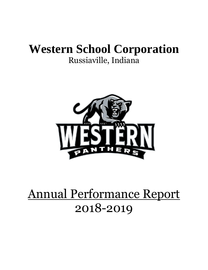## **Western School Corporation** Russiaville, Indiana



# Annual Performance Report 2018-2019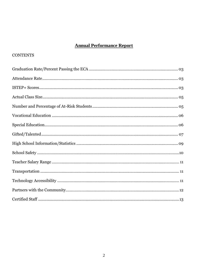## **Annual Performance Report**

## **CONTENTS**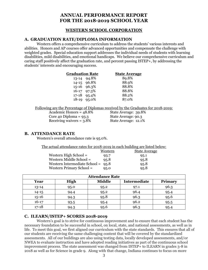## **ANNUAL PERFORMANCE REPORT FOR THE 2018-2019 SCHOOL YEAR**

## **WESTERN SCHOOL CORPORATION**

## **A. GRADUATION RATE/DIPLOMA INFORMATION**

Western offers a comprehensive curriculum to address the students' various interests and abilities. Honors and AP courses offer advanced opportunities and compensate the challenge with weighted grades. Special education support addresses the individual needs of students with learning disabilities, mild disabilities, and emotional handicaps. We believe our comprehensive curriculum and caring staff positively affect the graduation rate, and percent passing  $ISTEP<sub>+</sub>$ , by addressing the students' interests and encouraging success.

| <b>Graduation Rate</b> |               | <b>State Average</b> |
|------------------------|---------------|----------------------|
|                        | 13-14 94.8%   | 89.8%                |
|                        | 14-15 96.8%   | 88.9%                |
|                        | 15-16 96.3%   | 88.8%                |
|                        | 16-17 97.3%   | 88.8%                |
|                        | $17-18$ 95.4% | 88.2%                |
|                        | 18-19 95.0%   | 87.0%                |

Following are the Percentage of Diplomas received by the Graduates for 2018-2019:

Academic Honors =  $48.8\%$  State Average: 39.8% Core 40 Diploma = 93.3<br>Receiving waivers = 3.8%<br>State Average: 12.1% Receiving waivers =  $3.8\%$ 

## **B. ATTENDANCE RATE**

Western's overall attendance rate is 95.0%.

| The actual attendance rates for 2018-2019 in each building are listed below: |  |  |
|------------------------------------------------------------------------------|--|--|
|                                                                              |  |  |

|                                      | Western | <b>State Average</b> |
|--------------------------------------|---------|----------------------|
| Western High School $=$              | 93.7    | 95.1                 |
| Western Middle School =              | 95.8    | 95.8                 |
| Western Intermediate School = $95.8$ |         | 95.8                 |
| Western Primary School =             | 95.0    | 95.8                 |

| <b>Attendance Rate</b> |             |               |                     |                |  |  |  |  |  |  |
|------------------------|-------------|---------------|---------------------|----------------|--|--|--|--|--|--|
| Year                   | <b>High</b> | <b>Middle</b> | <b>Intermediate</b> | <b>Primary</b> |  |  |  |  |  |  |
| $13 - 14$              | 95.0        | 95.2          | 97.1                | 96.3           |  |  |  |  |  |  |
| $14 - 15$              | 94.4        | 95.2          | 96.4                | 95.4           |  |  |  |  |  |  |
| $15 - 16$              | 94.3        | 95.8          | 96.3                | 95.6           |  |  |  |  |  |  |
| $16 - 17$              | 93.5        | 95.4          | 96.2                | 95.5           |  |  |  |  |  |  |
| $17 - 18$              | 94.3        | 95.6          | 96.3                | 95.4           |  |  |  |  |  |  |

## **C. ILEARN/ISTEP+ SCORES 2018-2019**

Western's goal is to strive for continuous improvement and to ensure that each student has the necessary foundation to be successful in school, on local, state, and national assessments, as well as in life. To meet this goal, we first aligned our curriculum with the state standards. This ensures that all of our students are receiving the same challenging content that will be covered by the standardized assessments. All of our buildings are also using testing data, locally developed assessments, and/or NWEA to evaluate instruction and have adopted reading initiatives as part of the continuous school improvement process. The state assessment was changed from ISTEP+ to ILEARN in grades 3-8 in 2018 as well as for Science in grade 9. Along with that change, Indiana continues to focus on more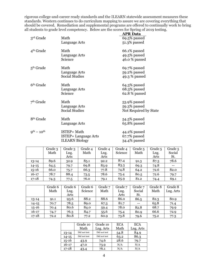rigorous college-and-career ready standards and the ILEARN statewide assessment measures these standards. Western continues to do curriculum mapping to assure we are covering everything that should be covered. Remediation and supplemental programs are offered to continually work to bring all students to grade level competency. Below are the scores for Spring of 2019 testing.

|                       |                             | <b>APR Data</b>       |
|-----------------------|-----------------------------|-----------------------|
| 3rd Grade             | Math                        | 69.5% passed          |
|                       | Language Arts               | 51.3% passed          |
| 4 <sup>th</sup> Grade | Math                        | 66.1% passed          |
|                       | Language Arts               | 49.5% passed          |
|                       | Science                     | 46.0 % passed         |
| $5th$ Grade           | Math                        | 69.7% passed          |
|                       | Language Arts               | 59.2% passed          |
|                       | <b>Social Studies</b>       | 49.3 % passed         |
| 6 <sup>th</sup> Grade | Math                        | 64.3% passed          |
|                       | Language Arts               | 68.3% passed          |
|                       | Science                     | 62.8 % passed         |
| $7th$ Grade           | Math                        | 53.9% passed          |
|                       | Language Arts               | 59.3% passed          |
|                       | <b>Social Studies</b>       | Not Required by State |
| 8 <sup>th</sup> Grade | Math                        | 54.5% passed          |
|                       | Language Arts               | 65.8% passed          |
| $Q^{th} - 10^{th}$    | ISTEP+ Math                 | 44.2% passed          |
|                       | <b>ISTEP+ Language Arts</b> | 67.7% passed          |
|                       | <b>ILEARN Biology</b>       | 34.4% passed          |
|                       |                             |                       |

|           | Grade 3 | Grade 3 | Grade 4 | Grade 4 | Grade 4 | Grade 5 | Grade 5 | Grade 5 |
|-----------|---------|---------|---------|---------|---------|---------|---------|---------|
|           | Math    | Lng.    | Math    | Lng.    | Science | Math    | Lng.    | Social  |
|           |         | Arts    |         | Arts    |         |         | Arts    | St.     |
| $13 - 14$ | 89.6    | 32.9    | 85.1    | 92.2    | 87.4    | 91.3    | 87.3    | 78.6    |
| $14 - 15$ | 64.5    | 79.7    | 69.8    | 83.9    | 83.3    | 69.3    | 74.8    |         |
| $15 - 16$ | 66.0    | 75.7    | 66.3    | 77.8    | 74.8    | 64.2    | 72.6    | 82.0    |
| $16 - 17$ | 78.7    | 88.4    | 73.5    | 78.6    | 75.4    | 80.5    | 72.6    | 79.7    |
| $17 - 18$ | 74.3    | 77.5    | 76.0    | 79.1    | 65.9    | 81.2    | 74.4    | 69.1    |

|           | Grade 6 | Grade 6 | Grade 6 | Grade 7 | Grade 7 | Grade 7 | Grade 8 | Grade 8   |
|-----------|---------|---------|---------|---------|---------|---------|---------|-----------|
|           | Math    | Lng.    | Science | Math    | Lng.    | Social  | Math    | Lng. Arts |
|           |         | Arts    |         |         | Arts    | St.     |         |           |
| $13 - 14$ | 91.1    | 93.6    | 88.2    | 88.6    | 86.0    | 86.5    | 82.3    | 80.9      |
| $14 - 15$ | 70.7    | 78.5    | 89.0    | 67.3    | 81.7    | $- -$   | 65.8    | 71.4      |
| $15 - 16$ | 70.4    | 80.6    | 84.0    | 59.4    | 78.0    | 82.8    | 68.7    | 79.9      |
| $16 - 17$ | 74.7    | 76.3    | 84.7    | 55.6    | 75.4    | 80.9    | 66.6    | 72.9      |
| $17 - 18$ | 72.2    | 80.8    | 77.2    | 60.9    | 73.8    | 79.6    | 75.2    | 77.3      |

|           | Grade 10     | Grade 10     | <b>ECA</b> | <b>ECA</b> |
|-----------|--------------|--------------|------------|------------|
|           | Math         | Lng. Arts    | Math       | Lng. Arts  |
| 13-14     | Did not test | Did not test | 54.8       | 84.9       |
| $14 - 15$ | Did not test | Did not test | 63.2       | 86.3       |
| $15 - 16$ | 43.9         | 74.6         | 28.6       | 79.7       |
| $16 - 17$ | 47.0         | 73.9         | N/A        | N/A        |
| $17 - 18$ | 43.4         | 76.1         | N/A        | N/A        |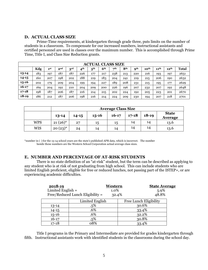#### **D. ACTUAL CLASS SIZE**

Prime-Time requirements, at kindergarten through grade three, puts limits on the number of students in a classroom. To compensate for our increased numbers, instructional assistants and certified personnel are used in classes over the maximum number. This is accomplished through Prime Time, Title I, and Class Size Reduction grants.

|           | ACTUAL CLASS SIZE |                 |                 |              |                 |                        |                 |           |                 |            |                  |                  |                  |              |
|-----------|-------------------|-----------------|-----------------|--------------|-----------------|------------------------|-----------------|-----------|-----------------|------------|------------------|------------------|------------------|--------------|
|           | Kdg               | 1 <sup>st</sup> | 2 <sub>nd</sub> | $3^{\rm rd}$ | 4 <sup>th</sup> | $\mathbf{5}^\text{th}$ | 6 <sup>th</sup> | $\neg$ th | 8 <sup>th</sup> | <b>Qth</b> | 10 <sup>th</sup> | 11 <sup>th</sup> | 12 <sup>th</sup> | <b>Total</b> |
| 13-14     | 183               | 197             | 187             | 187          | 226             | 177                    | 217             | 238       | 213             | 220        | 216              | 193              | 197              | 2651         |
| $14 - 15$ | 160               | 207             | 198             | 202          | 188             | 219                    | 183             | 204       | 241             | 219        | 215              | 206              | 190              | 2632         |
| $15 - 16$ | 202               | 179             | 209             | 204          | 199             | 194                    | 227             | 189       | 208             | 231        | 215              | 195              | 177              | 2629         |
| $16 - 17$ | 169               | 204             | 192             | 210          | 204             | 209                    | 200             | 226       | 196             | 207        | 232              | 207              | 192              | 2648         |
| $17 - 18$ | 198               | 187             | 206             | 187          | 216             | 214                    | 215             | 202       | 224             | 192        | 205              | 223              | 201              | 2670         |
| $18-19$   | 186               | 212             | 187             | 206          | 198             | 216                    | 214             | 224       | 209             | 230        | 194              | 207              | 218              | 2701         |

|            | <b>Average Class Size</b> |                         |    |    |    |    |      |  |  |
|------------|---------------------------|-------------------------|----|----|----|----|------|--|--|
|            | $13 - 14$                 | <b>State</b><br>Average |    |    |    |    |      |  |  |
| <b>WPS</b> | $21(26)$ *                | 27                      | 15 | 15 | 14 | 14 | 13.6 |  |  |
| <b>WIS</b> | $20(23)^{*}$              | 24                      | 14 | 14 | 14 | 14 | 13.6 |  |  |

\*number in ( ) for the 13-14 school years are the state's published APR data, which is incorrect. The number beside these numbers are the Western School Corporation actual average class sizes.

## **E. NUMBER AND PERCENTAGE OF AT-RISK STUDENTS**

There is no state definition of an "at-risk" student, but the term can be described as applying to any student who is at risk of not graduating from high school. This can include students who are limited English proficient, eligible for free or reduced lunches, not passing part of the ISTEP+, or are experiencing academic difficulties.

| 2018-19<br>Limited English $=$ |                                    | Western<br>1.0% | <b>State Average</b><br>5.9% |  |
|--------------------------------|------------------------------------|-----------------|------------------------------|--|
|                                | $Free/Reduced Lunch$ Eligibility = | 32.4%           | 48.8%                        |  |
|                                | Limited English                    |                 | Free Lunch Eligibility       |  |
| $13 - 14$                      | $.5\%$                             |                 | 30.6%                        |  |
| $14 - 15$                      | .6%                                |                 | 33.4%                        |  |
| $15 - 16$                      | .6%                                |                 | 32.2%                        |  |
| $16 - 17$                      | .5%                                |                 | 30.8%                        |  |
| $17 - 18$                      | 08%                                |                 | 33.4%                        |  |

Title I programs in the Primary and Intermediate are provided for grades kindergarten through fifth. Instructional assistants work with identified students in the classrooms during the school day.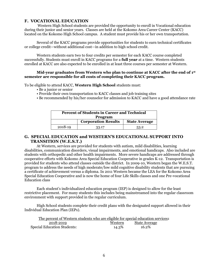## **F. VOCATIONAL EDUCATION**

Western High School students are provided the opportunity to enroll in Vocational education during their junior and senior years. Classes are held at the Kokomo Area Career Center (KACC) located on the Kokomo High School campus. A student must provide his or her own transportation.

Several of the KACC programs provide opportunities for students to earn technical certificates or college credit—without additional cost—in addition to high school credit.

Western students earn two to four credits per semester for each KACC course completed successfully. Students must enroll in KACC programs for a **full year** at a time. Western students enrolled at KACC are also expected to be enrolled in at least three courses per semester at Western.

#### **Mid-year graduates from Western who plan to continue at KACC after the end of 1 st semester are responsible for all costs of completing their KACC program.**

To be eligible to attend KACC, **Western High School** students must:

- Be a junior or senior
- Provide their own transportation to KACC classes and job training sites
- Be recommended by his/her counselor for admission to KACC and have a good attendance rate

| <b>Percent of Students in Career and Technical</b> |                            |                      |  |  |  |  |
|----------------------------------------------------|----------------------------|----------------------|--|--|--|--|
| Program                                            |                            |                      |  |  |  |  |
|                                                    | <b>Corporation Results</b> | <b>State Average</b> |  |  |  |  |
| 2018-19                                            | 33.17                      | 53.2                 |  |  |  |  |

#### **G. SPECIAL EDUCATION and WESTERN'S EDUCATIONAL SUPPORT INTO TRANSITION (W.E.S.T.)**

At Western, services are provided for students with autism, mild disabilities, learning disabilities, communication disorders, visual impairments, and emotional handicaps. Also included are students with orthopedic and other health impairments. More severe handicaps are addressed through cooperative efforts with Kokomo Area Special Education Cooperative in grades K-12. Transportation is provided for students who attend classes outside the district. In 2009-10, Western began the W.E.S.T. program to address the needs of high moderate/low mild cognitive disability students that are pursuing a certificate of achievement versus a diploma. In 2011 Western became the LEA for the Kokomo Area Special Education Cooperative and is now the home of four Life Skills classes and one Pre-vocational Education class

Each student's individualized education program (IEP) is designed to allow for the least restrictive placement. For many students this includes being mainstreamed into the regular classroom environment with support provided in the regular curriculum.

High School students complete their credit plans with the designated support allowed in their Individual Education Plan (IEPs).

| The percent of Western students who are eligible for special education services: |         |                      |  |
|----------------------------------------------------------------------------------|---------|----------------------|--|
| 2018-2019                                                                        | Western | <u>State Average</u> |  |
| Special Education Students:                                                      | 14.3%   | 16.2%                |  |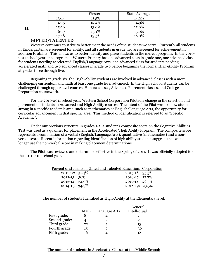|           | Western | <b>State Averages</b> |
|-----------|---------|-----------------------|
| 13-14     | 11.5%   | 14.2%                 |
| $14 - 15$ | 12.4%   | 14.9%                 |
| $15 - 16$ | 13.0%   | 15.0%                 |
| $16 - 17$ | 13.1%   | 15.0%                 |
| $17 - 18$ | 13.5%   | 16.0%                 |

## **H.**

#### **GIFTED/TALENTED**

Western continues to strive to better meet the needs of the students we serve. Currently all students in Kindergarten are screened for ability, and all students in grade two are screened for achievement in addition to ability. This allows us to better identify and place students in the correct program. In the 2010- 2011 school year, the program at Western Primary has one advanced class in grade one, one advanced class for students needing accelerated English/Language Arts, one advanced class for students needing accelerated math and two advanced classes in grade two before beginning the formal High-Ability Program at grades three through five.

Beginning in grade six, the High-Ability students are involved in advanced classes with a more challenging curriculum and math at least one grade level advanced. In the High School, students can be challenged through upper level courses, Honors classes, Advanced Placement classes, and College Preparation coursework.

For the 2010-2011 school year, Western School Corporation Piloted a change in the selection and placement of students in Advanced and High Ability courses. The intent of the Pilot was to allow students strong in a specific academic area, such as mathematics or English/Language Arts, the opportunity for curricular advancement in that specific area. This method of identification is referred to as "Specific Academic".

Under our previous structure in grades 1-5, a student's composite score on the Cognitive Abilities Test was used as a qualifier for placement in the Accelerated/High Ability Program. The composite score represents a combination of a verbal (English/Language Arts), quantitative (mathematics) and a nonverbal score. Recent information regarding identification of high ability students suggests that we no longer use the non-verbal score in making placement determinations.

The Pilot was reviewed and determined effective in the Spring of 2011. It was officially adopted for the 2011-2012 school year.

| Percent of students in Gifted and Talented Education: Corporation |  |  |  |
|-------------------------------------------------------------------|--|--|--|
|                                                                   |  |  |  |

| 2011-12: 34.4% | $2015 - 16:35.5\%$ |  |
|----------------|--------------------|--|
| 2012-13: 36%   | 2016-17: 27.7%     |  |
| 2013-14: 34.9% | 2017-18: 26.5%     |  |
| 2014-15: 34.5% | $2018-19:23.5\%$   |  |
|                |                    |  |

#### The number of students Identified as High-Ability at the Elementary level:

|      |                      | General      |
|------|----------------------|--------------|
| Math | <b>Language Arts</b> | Intellectual |
|      |                      |              |
|      |                      | 2            |
| 22   | 5                    | 13           |
| 15   |                      | 36           |
| 16   |                      | 18           |
|      |                      |              |

The number of students in Accelerated Classes at the Middle School: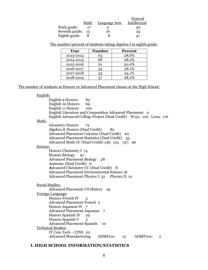|                     | Math | Language Arts | General<br>Intellectual |
|---------------------|------|---------------|-------------------------|
|                     |      |               |                         |
| Sixth grade:        |      | b             | 30                      |
| Seventh grade: $15$ |      | 16            | 34                      |
| Eighth grade:       |      |               | 41                      |

The number/percent of students taking Algebra I in eighth grade:

| Year      | <b>Number</b> | <b>Percent</b> |
|-----------|---------------|----------------|
| 2013-2014 | 63            | 28.6%          |
| 2014-2015 | 68            | 28.2%          |
| 2015-2016 | 61            | 30.0%          |
| 2016-2017 | 54            | 28.1%          |
| 2017-2018 | 53            | 24.1%          |
| 2018-2019 | 57            | 28.2%          |

The number of students in Honors or Advanced Placement classes at the High School:

| English:                                                                   |
|----------------------------------------------------------------------------|
| English 9 Honors<br>83                                                     |
| <b>English 10 Honors</b><br>69                                             |
| English 11 Honors<br>100                                                   |
| English Literature and Composition Advanced Placement o                    |
| English Advanced College Project (Dual Credit) W131: 120 L202: 116         |
| Math:                                                                      |
| <b>Geometry Honors</b><br>72                                               |
| Algebra II Honors (Dual Credit)<br>83                                      |
| Advanced Placement Calculus (Dual Credit) 60                               |
| Advanced Placement Statistics (Dual Credit) 35                             |
| Advanced Math CC (Dual Credit) 136: 123 137: 96                            |
| Science:                                                                   |
| Honors Chemistry I 74                                                      |
| Honors Biology<br>Q <sub>1</sub>                                           |
| <b>Advanced Placement Biology</b><br>28                                    |
| Anatomy (Dual Credit) 6                                                    |
| <b>Advanced Chemistry CC (Dual Credit) 8</b>                               |
| <b>Advanced Placement Environmental Science 18</b>                         |
| Advanced Placement Physics I: 52 Physics II: 10                            |
|                                                                            |
| Social Studies:                                                            |
| <b>Advanced Placement US History</b><br>29                                 |
| Foreign Language:                                                          |
| Honors French IV<br>5                                                      |
| <b>Advanced Placement French 2</b>                                         |
| Honors Japanese IV 7                                                       |
| <b>Advanced Placement Japanese</b><br>7                                    |
| Honors Spanish IV<br>29                                                    |
| Honors Spanish V<br>3                                                      |
| <b>Advanced Placement Spanish</b><br>10                                    |
| <b>Technical Studies:</b>                                                  |
| IT Com Tech - CINS 22                                                      |
| <b>Advanced Manufacturing</b><br>ADMF101:<br>ADMF102:<br>15<br>$\mathbf 2$ |

## **I. HIGH SCHOOL INFORMATION/STATISTICS**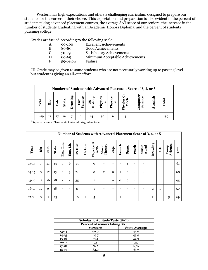Western has high expectations and offers a challenging curriculum designed to prepare our students for the career of their choice. This expectation and preparation is also evident in the percent of students taking advanced placement courses, the average SAT score of our seniors, the increase in the number of students graduating with an Academic Honors Diploma, and the percent of students pursuing college.

Grades are issued according to the following scale:

- A 90-100 Excellent Achievements<br>B 80-89 Good Achievements
	- B 80-89 Good Achievements<br>C 70-79 Satisfactory Achiever
	- C 70-79 Satisfactory Achievements
	- D 60-69 Minimum Acceptable Achievements
	- F 59-below Failure

CR Grade may be given to some students who are not necessarily working up to passing level but student is giving an all-out effort.

| Number of Students with Advanced Placement Score of 3, 4, or 5 |     |               |        |                     |                                 |                 |        |              |                       |                      |          |       |
|----------------------------------------------------------------|-----|---------------|--------|---------------------|---------------------------------|-----------------|--------|--------------|-----------------------|----------------------|----------|-------|
| <b>ear</b>                                                     | Bio | $_{\rm calc}$ | Stats. | <b>Prawing</b><br>ఇ | Env<br>$\ddot{\textbf{c}}$<br>ω | isto<br>50<br>т | Physic | Physi<br>. လ | $\bullet\bullet$<br>È | نە<br>Scie<br>е<br>δ | 딍<br>Spa | Total |
| $18-19$                                                        | 17  | 27            | 16     | 7                   | 6                               | 14              | 30     | 6            |                       |                      |          | 139   |

\*Reported as Adv. Placement of 11th and 12th graders tested.

|           | Number of Students with Advanced Placement Score of 3, 4, or 5 |          |        |                          |              |         |              |                   |                 |                          |                          |                          |                          |                |              |              |                 |       |
|-----------|----------------------------------------------------------------|----------|--------|--------------------------|--------------|---------|--------------|-------------------|-----------------|--------------------------|--------------------------|--------------------------|--------------------------|----------------|--------------|--------------|-----------------|-------|
| Year      | Bio                                                            | Calc.    | Stats. | Lng<br>Eng.              | iit.<br>Eng. | US Hist | US Gov       | Physics B<br>Gen. | Theory<br>Music | Jap.                     | French                   | Span.                    | Psych                    | Music<br>Aural | Drawing      | $2 - D$      | Science<br>Comp | Total |
| $13 - 14$ | 7                                                              | 21       | 13     | $\Omega$                 | 6            | 13      |              | $\Omega$          |                 |                          |                          | $\mathbf{1}$             | $\overline{\phantom{a}}$ |                |              |              |                 | 61    |
| $14 - 15$ | 8                                                              | 17       | 13     | $\Omega$                 | 3            | 24      |              | $\Omega$          | $\overline{2}$  | $\Omega$                 | $\mathbf{1}$             | $\Omega$                 | $\overline{\phantom{a}}$ |                |              |              |                 | 68    |
| $15 - 16$ | 12                                                             | 26       | 18     | $\overline{\phantom{0}}$ | -            | 35      |              | $\mathbf{1}$      | $\mathbf{1}$    | $\Omega$                 | $\Omega$                 | $\mathbf 0$              | $\mathbf{1}$             | $\mathbf{1}$   |              |              |                 | 95    |
| $16 - 17$ | 12                                                             | $\Omega$ | 18     | -                        | -            | 11      |              | $\mathbf{1}$      |                 | $\overline{\phantom{0}}$ | $\overline{\phantom{0}}$ | $\overline{\phantom{a}}$ | $\overline{\phantom{a}}$ |                | $\mathbf{2}$ | $\mathbf{1}$ |                 | 50    |
| $17 - 18$ | 8                                                              | 12       | 23     |                          |              | 10      | $\mathbf{1}$ | 5                 |                 |                          | 1                        |                          |                          |                | $\mathbf{2}$ |              | 5               | 69    |

| <b>Scholastic Aptitude Tests (SAT)</b> |      |      |  |  |  |  |  |  |
|----------------------------------------|------|------|--|--|--|--|--|--|
| <b>Percent of seniors taking SAT</b>   |      |      |  |  |  |  |  |  |
| <b>State Average</b><br>Western        |      |      |  |  |  |  |  |  |
| $13 - 14$                              | 69.0 | 45.6 |  |  |  |  |  |  |
| $14 - 15$                              | 69.7 | 45.9 |  |  |  |  |  |  |
| $15 - 16$                              | 71.1 | 44.9 |  |  |  |  |  |  |
| $16 - 17$                              | 73   | 55   |  |  |  |  |  |  |
| $17 - 18$                              | N/A  | N/A  |  |  |  |  |  |  |
| $18 - 19$                              | 84.9 | 61.7 |  |  |  |  |  |  |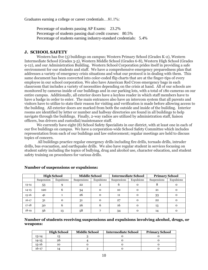Graduates earning a college or career credentials…81.1%:

Percentage of students passing AP Exams: 23.2% Percentage of students passing dual credit courses: 80.5% Percentage of students earning industry-standard credentials: 5.4%

#### **J. SCHOOL SAFETY**

Western has five (5) buildings on campus; Western Primary School (Grades K-2), Western Intermediate School (Grades 3-5), Western Middle School (Grades 6-8), Western High School (Grades 9-12), and our Administration Building. Western School Corporation prides itself in providing a safe environment for our students and staff. We have a comprehensive emergency preparedness plan that addresses a variety of emergency crisis situations and what our protocol is in dealing with them. This same document has been converted into color-coded flip charts that are at the finger-tips of every employee in our school corporation. We also have American Red Cross emergency bags in each classroom that includes a variety of necessities depending on the crisis at hand. All of our schools are monitored by cameras inside of our buildings and in our parking lots, with a total of 180 cameras on our entire campus. Additionally, all exterior doors have a keyless reader in which staff members have to have a badge in order to enter. The main entrances also have an intercom system that all parents and visitors have to utilize to state their reason for visiting and verification is made before allowing access to the building. All exterior doors are marked from both the outside and inside of the building. Interior rooms are identified by letter or number and hallway directories are found in all buildings to help navigate through the buildings. Finally, 2-way radios are utilized by administration staff, liaison officers, bus drivers and custodial/maintenance staff.

We currently have eight (8) School Safety Specialists in our district, with at least one in each of our five buildings on campus. We have a corporation-wide School Safety Committee which includes representation from each of our buildings and law enforcement; regular meetings are held to discuss topics of concern.

All buildings practice regular emergency drills including fire drills, tornado drills, intruder drills, bus evacuation, and earthquake drills. We also have regular student in services focusing on student safety including the topics of bullying, drug and alcohol use, character education, and student safety training on procedures for various drills.

|           | <b>High School</b> |            | <b>Middle School</b> |            | <b>Intermediate School</b> |            | <b>Primary School</b> |            |
|-----------|--------------------|------------|----------------------|------------|----------------------------|------------|-----------------------|------------|
|           | Suspension         | Expulsions | Suspensions          | Expulsions | Suspensions                | Expulsions | Suspensions           | Expulsions |
| $13 - 14$ | 53                 |            | 22                   | 2          |                            | О          |                       | 0          |
| $14 - 15$ | 120                | n          | 34                   | 0          | 10                         | $\Omega$   | 21                    |            |
| $15 - 16$ | 41                 |            | 26                   | 0          | 11                         |            | 33                    |            |
| $16 - 17$ | 31                 | Ω          | 31                   |            | 27                         | $\Omega$   | 22                    |            |
| $17 - 18$ | 30                 | n          | 26                   | n          | 16                         | $\Omega$   | 13                    |            |
| $18-19$   | 56                 | 13         | 58                   |            | 34                         |            | 14                    |            |

#### **Number of suspensions or expulsions:**

**Number of students receiving suspensions and expulsions involving alcohol, drugs, or weapons:**

|           | <b>High School</b> | <b>Middle School</b> | <b>Intermediate School</b> | <b>Primary School</b> |
|-----------|--------------------|----------------------|----------------------------|-----------------------|
| 13-14     |                    |                      |                            |                       |
| $14 - 15$ | 26                 |                      |                            |                       |
| $15 - 16$ | 10                 |                      |                            |                       |
| 16-17     | 14                 |                      |                            |                       |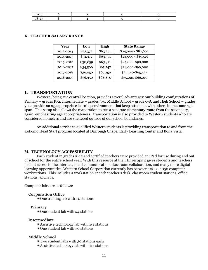| ∸ |  |  |
|---|--|--|

| Year      | Low      | High     | <b>State Range</b>  |
|-----------|----------|----------|---------------------|
| 2013-2014 | \$31,372 | \$63.371 | $$24,000 - $87,602$ |
| 2014-2015 | \$31,372 | \$63.371 | $$24,009 - $89,516$ |
| 2015-2016 | \$30,859 | \$63,371 | \$24,000-\$90,000   |
| 2016-2017 | \$34,500 | \$65,747 | \$24,000-\$90,000   |
| 2017-2018 | \$36,050 | \$67,250 | \$34,140-\$65,537   |
| 2018-2019 | \$36,350 | \$68,850 | \$35,024-\$66,010   |

#### **K. TEACHER SALARY RANGE**

#### **L. TRANSPORTATION**

Western, being at a central location, provides several advantages: our building configurations of Primary – grades K-2; Intermediate – grades 3-5; Middle School – grade 6-8; and High School – grades 9-12 provide an age appropriate learning environment that keeps students with others in the same age span. This setup also allows the corporation to run a separate elementary route from the secondary, again, emphasizing age appropriateness. Transportation is also provided to Western students who are considered homeless and are sheltered outside of our school boundaries.

An additional service to qualified Western students is providing transportation to and from the Kokomo Head Start program located at Darrough Chapel Early Learning Center and Bona Vista..

#### **M. TECHNOLOGY ACCESSIBILITY**

Each student in grades K-12 and certified teachers were provided an iPad for use during and out of school for the entire school year. With this resource at their fingertips it gives students and teachers instant access to the internet, email communication, classroom collaboration, and many more digital learning opportunities. Western School Corporation currently has between 1000 - 1050 computer workstations. This includes a workstation at each teacher's desk, classroom student stations, office stations, and labs.

Computer labs are as follows:

#### **Corporation Office**

One training lab with 14 stations

#### **Primary**

One student lab with 24 stations

#### **Intermediate**

- Assistive technology lab with five stations
- One student lab with 30 stations

#### **Middle School**

- Two student labs with 30 stations each
- Assistive technology lab with five stations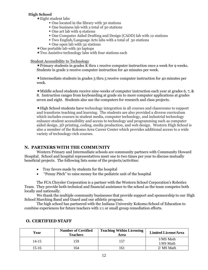## **High School**

Eight student labs

- One located in the library with 30 stations
- One business lab with a total of 30 stations
- One art lab with 9 stations
- One Computer Aided Drafting and Design (CADD) lab with 12 stations
- Two English/Language Arts labs with a total of 50 stations
- One open lab with 32 stations
- One portable lab with 30 laptops

Two Assistive technology labs with four stations each

#### Student Accessibility to Technology

Primary students in grades K thru 1 receive computer instruction once a week for 9 weeks. Students in grade 2 receive computer instruction for 40 minutes per week.

Intermediate students in grades 3 thru 5 receive computer instruction for 40 minutes per week.

Middle school students receive nine-weeks of computer instruction each year at grades 6, 7, & 8. Instruction ranges from keyboarding at grade six to more computer applications at grades seven and eight. Students also use the computers for research and class projects.

High School students have technology integration in all courses and classrooms to support and transform teaching and learning. The students are also provided a diverse curriculum which includes courses in student media, computer technology, and industrial technology enhance student accessibility and access to technology and programming such as computer aided design, 3D printing, coding, media production, and web design. Western High School is also a member of the Kokomo Area Career Center which provides additional access to a wide variety of technology-rich courses.

## **N. PARTNERS WITH THE COMMUNITY**

Western Primary and Intermediate schools are community partners with Community Howard Hospital. School and hospital representatives meet one to two times per year to discuss mutually beneficial projects. The following lists some of the projects/activities:

- Tray favors made by students for the hospital
- "Penny Pitch" to raise money for the pediatric unit of the hospital

The FCA Chrysler Corporation is a partner with the Western School Corporation's Robotics Team. They provide both technical and financial assistance to the school as the team competes both locally and nationally.

We thank the multiple community businesses that provide support and sponsorship to our High School Marching Band and Guard and our athletic program.

The high school has partnered with the Indiana University Kokomo School of Education to combine experiences for future teachers with 1:1 or small group remediation efforts.

| Year  | <b>Number of Certified</b><br><b>Teachers</b> | <b>Teaching Within Licensing</b><br>Area | <b>Limited License/Area</b> |
|-------|-----------------------------------------------|------------------------------------------|-----------------------------|
| 14-15 | 59                                            | 57ء                                      | 1/MS Math<br>1/HS Math      |
| 15-16 | 64                                            | .61                                      | 2/ MS Math                  |

## **O. CERTIFIED STAFF**